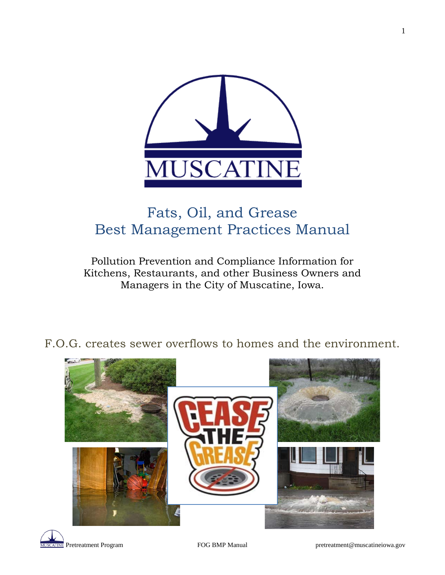

## Fats, Oil, and Grease Best Management Practices Manual

## Pollution Prevention and Compliance Information for Kitchens, Restaurants, and other Business Owners and Managers in the City of Muscatine, Iowa.

F.O.G. creates sewer overflows to homes and the environment.

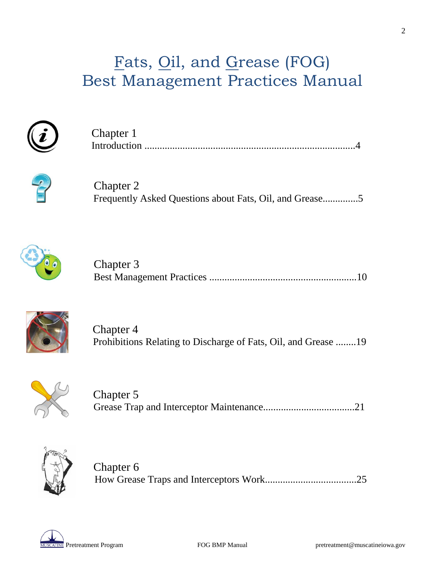## Fats, Oil, and Grease (FOG) Best Management Practices Manual



| Chapter 1 |  |
|-----------|--|
|           |  |



 Chapter 2 Frequently Asked Questions about Fats, Oil, and Grease..............5



| Chapter 3 |  |
|-----------|--|
|           |  |



 Chapter 4 Prohibitions Relating to Discharge of Fats, Oil, and Grease ........19



 Chapter 5 Grease Trap and Interceptor Maintenance....................................21



 Chapter 6 How Grease Traps and Interceptors Work....................................25

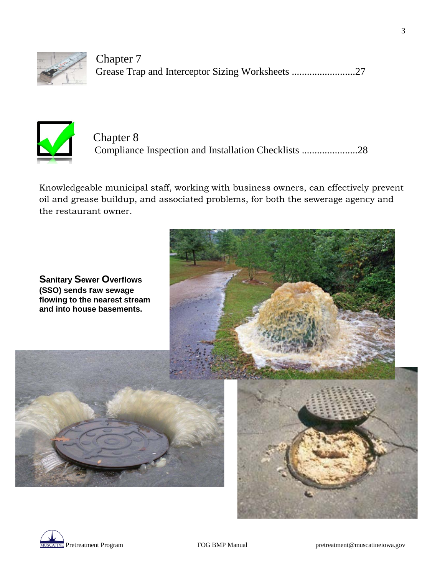

Chapter 7 Grease Trap and Interceptor Sizing Worksheets ............................27



 Chapter 8 Compliance Inspection and Installation Checklists ......................28

Knowledgeable municipal staff, working with business owners, can effectively prevent oil and grease buildup, and associated problems, for both the sewerage agency and the restaurant owner.



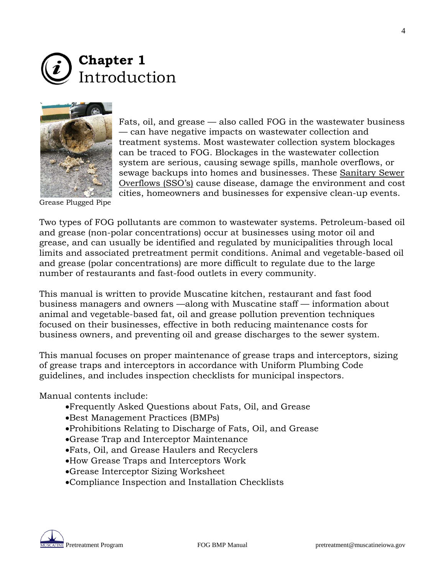



Fats, oil, and grease — also called FOG in the wastewater business — can have negative impacts on wastewater collection and treatment systems. Most wastewater collection system blockages can be traced to FOG. Blockages in the wastewater collection system are serious, causing sewage spills, manhole overflows, or sewage backups into homes and businesses. These Sanitary Sewer Overflows (SSO's) cause disease, damage the environment and cost cities, homeowners and businesses for expensive clean-up events.

Grease Plugged Pipe

Two types of FOG pollutants are common to wastewater systems. Petroleum-based oil and grease (non-polar concentrations) occur at businesses using motor oil and grease, and can usually be identified and regulated by municipalities through local limits and associated pretreatment permit conditions. Animal and vegetable-based oil and grease (polar concentrations) are more difficult to regulate due to the large number of restaurants and fast-food outlets in every community.

This manual is written to provide Muscatine kitchen, restaurant and fast food business managers and owners —along with Muscatine staff — information about animal and vegetable-based fat, oil and grease pollution prevention techniques focused on their businesses, effective in both reducing maintenance costs for business owners, and preventing oil and grease discharges to the sewer system.

This manual focuses on proper maintenance of grease traps and interceptors, sizing of grease traps and interceptors in accordance with Uniform Plumbing Code guidelines, and includes inspection checklists for municipal inspectors.

Manual contents include:

- •Frequently Asked Questions about Fats, Oil, and Grease
- •Best Management Practices (BMPs)
- •Prohibitions Relating to Discharge of Fats, Oil, and Grease
- •Grease Trap and Interceptor Maintenance
- •Fats, Oil, and Grease Haulers and Recyclers
- •How Grease Traps and Interceptors Work
- •Grease Interceptor Sizing Worksheet
- •Compliance Inspection and Installation Checklists

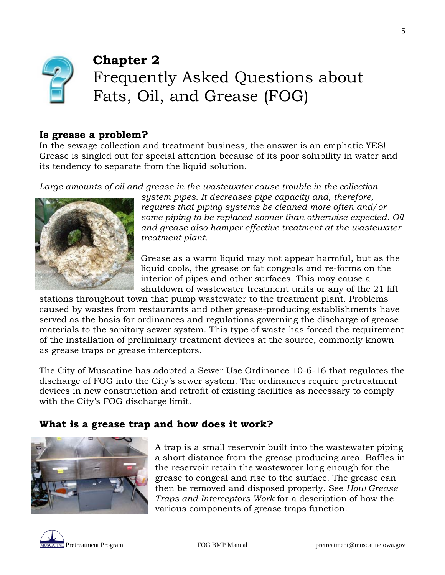

## **Chapter 2** Frequently Asked Questions about Fats, Oil, and Grease (FOG)

### **Is grease a problem?**

In the sewage collection and treatment business, the answer is an emphatic YES! Grease is singled out for special attention because of its poor solubility in water and its tendency to separate from the liquid solution.

Large amounts of oil and grease in the wastewater cause trouble in the collection



*system pipes. It decreases pipe capacity and, therefore, requires that piping systems be cleaned more often and/or some piping to be replaced sooner than otherwise expected. Oil and grease also hamper effective treatment at the wastewater treatment plant.*

Grease as a warm liquid may not appear harmful, but as the liquid cools, the grease or fat congeals and re-forms on the interior of pipes and other surfaces. This may cause a shutdown of wastewater treatment units or any of the 21 lift

stations throughout town that pump wastewater to the treatment plant. Problems caused by wastes from restaurants and other grease-producing establishments have served as the basis for ordinances and regulations governing the discharge of grease materials to the sanitary sewer system. This type of waste has forced the requirement of the installation of preliminary treatment devices at the source, commonly known as grease traps or grease interceptors.

The City of Muscatine has adopted a Sewer Use Ordinance 10-6-16 that regulates the discharge of FOG into the City's sewer system. The ordinances require pretreatment devices in new construction and retrofit of existing facilities as necessary to comply with the City's FOG discharge limit.

### **What is a grease trap and how does it work?**



A trap is a small reservoir built into the wastewater piping a short distance from the grease producing area. Baffles in the reservoir retain the wastewater long enough for the grease to congeal and rise to the surface. The grease can then be removed and disposed properly. See *How Grease Traps and Interceptors Work* for a description of how the various components of grease traps function.



5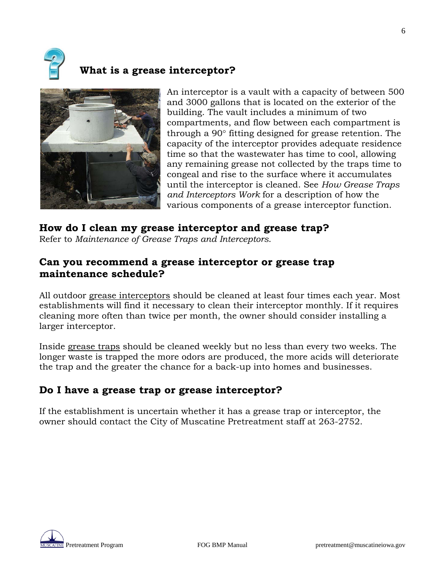

## **What is a grease interceptor?**



An interceptor is a vault with a capacity of between 500 and 3000 gallons that is located on the exterior of the building. The vault includes a minimum of two compartments, and flow between each compartment is through a 90° fitting designed for grease retention. The capacity of the interceptor provides adequate residence time so that the wastewater has time to cool, allowing any remaining grease not collected by the traps time to congeal and rise to the surface where it accumulates until the interceptor is cleaned. See *How Grease Traps and Interceptors Work* for a description of how the various components of a grease interceptor function.

## **How do I clean my grease interceptor and grease trap?**

Refer to *Maintenance of Grease Traps and Interceptors*.

### **Can you recommend a grease interceptor or grease trap maintenance schedule?**

All outdoor grease interceptors should be cleaned at least four times each year. Most establishments will find it necessary to clean their interceptor monthly. If it requires cleaning more often than twice per month, the owner should consider installing a larger interceptor.

Inside grease traps should be cleaned weekly but no less than every two weeks. The longer waste is trapped the more odors are produced, the more acids will deteriorate the trap and the greater the chance for a back-up into homes and businesses.

### **Do I have a grease trap or grease interceptor?**

If the establishment is uncertain whether it has a grease trap or interceptor, the owner should contact the City of Muscatine Pretreatment staff at 263-2752.



6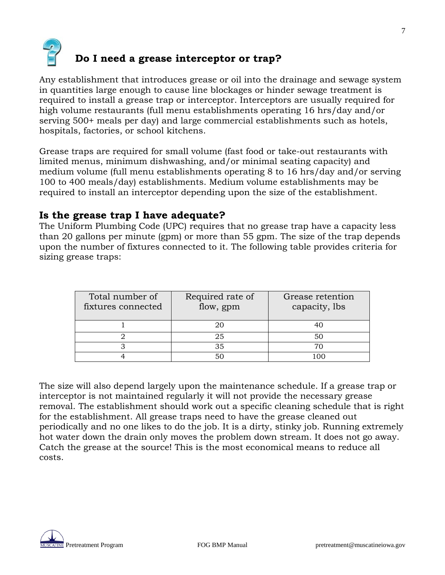

Any establishment that introduces grease or oil into the drainage and sewage system in quantities large enough to cause line blockages or hinder sewage treatment is required to install a grease trap or interceptor. Interceptors are usually required for high volume restaurants (full menu establishments operating 16 hrs/day and/or serving 500+ meals per day) and large commercial establishments such as hotels, hospitals, factories, or school kitchens.

Grease traps are required for small volume (fast food or take-out restaurants with limited menus, minimum dishwashing, and/or minimal seating capacity) and medium volume (full menu establishments operating 8 to 16 hrs/day and/or serving 100 to 400 meals/day) establishments. Medium volume establishments may be required to install an interceptor depending upon the size of the establishment.

### **Is the grease trap I have adequate?**

The Uniform Plumbing Code (UPC) requires that no grease trap have a capacity less than 20 gallons per minute (gpm) or more than 55 gpm. The size of the trap depends upon the number of fixtures connected to it. The following table provides criteria for sizing grease traps:

| Total number of<br>fixtures connected | Required rate of<br>flow, gpm | Grease retention<br>capacity, lbs |
|---------------------------------------|-------------------------------|-----------------------------------|
|                                       | 20                            |                                   |
|                                       | 25                            | 50                                |
|                                       | 35                            |                                   |
|                                       |                               |                                   |

The size will also depend largely upon the maintenance schedule. If a grease trap or interceptor is not maintained regularly it will not provide the necessary grease removal. The establishment should work out a specific cleaning schedule that is right for the establishment. All grease traps need to have the grease cleaned out periodically and no one likes to do the job. It is a dirty, stinky job. Running extremely hot water down the drain only moves the problem down stream. It does not go away. Catch the grease at the source! This is the most economical means to reduce all costs.

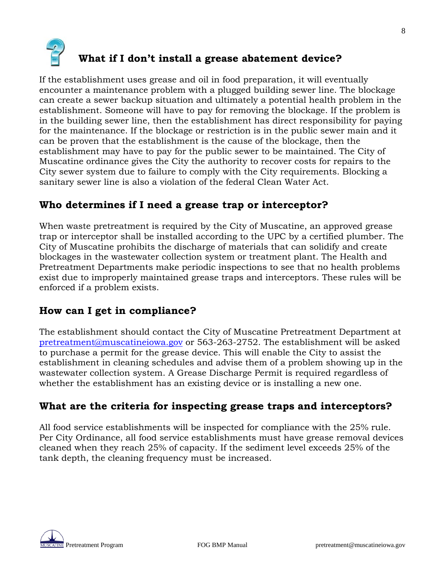

If the establishment uses grease and oil in food preparation, it will eventually encounter a maintenance problem with a plugged building sewer line. The blockage can create a sewer backup situation and ultimately a potential health problem in the establishment. Someone will have to pay for removing the blockage. If the problem is in the building sewer line, then the establishment has direct responsibility for paying for the maintenance. If the blockage or restriction is in the public sewer main and it can be proven that the establishment is the cause of the blockage, then the establishment may have to pay for the public sewer to be maintained. The City of Muscatine ordinance gives the City the authority to recover costs for repairs to the City sewer system due to failure to comply with the City requirements. Blocking a sanitary sewer line is also a violation of the federal Clean Water Act.

### **Who determines if I need a grease trap or interceptor?**

When waste pretreatment is required by the City of Muscatine, an approved grease trap or interceptor shall be installed according to the UPC by a certified plumber. The City of Muscatine prohibits the discharge of materials that can solidify and create blockages in the wastewater collection system or treatment plant. The Health and Pretreatment Departments make periodic inspections to see that no health problems exist due to improperly maintained grease traps and interceptors. These rules will be enforced if a problem exists.

### **How can I get in compliance?**

The establishment should contact the City of Muscatine Pretreatment Department at [pretreatment@muscatineiowa.gov](mailto:pretreatment@muscatineiowa.gov) or 563-263-2752. The establishment will be asked to purchase a permit for the grease device. This will enable the City to assist the establishment in cleaning schedules and advise them of a problem showing up in the wastewater collection system. A Grease Discharge Permit is required regardless of whether the establishment has an existing device or is installing a new one.

### **What are the criteria for inspecting grease traps and interceptors?**

All food service establishments will be inspected for compliance with the 25% rule. Per City Ordinance, all food service establishments must have grease removal devices cleaned when they reach 25% of capacity. If the sediment level exceeds 25% of the tank depth, the cleaning frequency must be increased.



8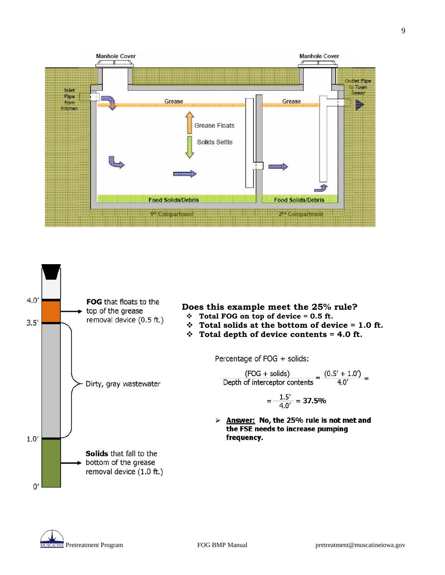



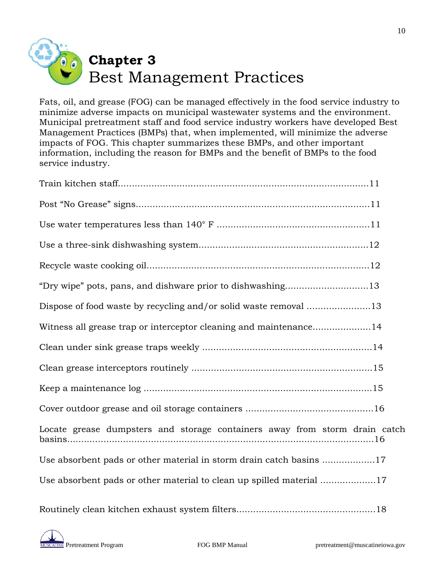

Fats, oil, and grease (FOG) can be managed effectively in the food service industry to minimize adverse impacts on municipal wastewater systems and the environment. Municipal pretreatment staff and food service industry workers have developed Best Management Practices (BMPs) that, when implemented, will minimize the adverse impacts of FOG. This chapter summarizes these BMPs, and other important information, including the reason for BMPs and the benefit of BMPs to the food service industry.

| "Dry wipe" pots, pans, and dishware prior to dishwashing13                 |
|----------------------------------------------------------------------------|
| Dispose of food waste by recycling and/or solid waste removal 13           |
| Witness all grease trap or interceptor cleaning and maintenance14          |
|                                                                            |
|                                                                            |
|                                                                            |
|                                                                            |
| Locate grease dumpsters and storage containers away from storm drain catch |
| Use absorbent pads or other material in storm drain catch basins 17        |
| Use absorbent pads or other material to clean up spilled material 17       |
|                                                                            |

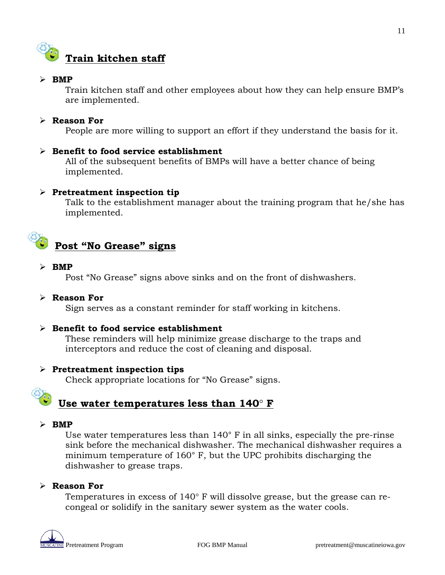

#### $\triangleright$  **BMP**

Train kitchen staff and other employees about how they can help ensure BMP's are implemented.

#### **Reason For**

People are more willing to support an effort if they understand the basis for it.

#### **Benefit to food service establishment**

All of the subsequent benefits of BMPs will have a better chance of being implemented.

#### **Pretreatment inspection tip**

Talk to the establishment manager about the training program that he/she has implemented.



#### $\triangleright$  **BMP**

Post "No Grease" signs above sinks and on the front of dishwashers.

#### **Reason For**

Sign serves as a constant reminder for staff working in kitchens.

#### **Benefit to food service establishment**

These reminders will help minimize grease discharge to the traps and interceptors and reduce the cost of cleaning and disposal.

#### **Pretreatment inspection tips**

Check appropriate locations for "No Grease" signs.

## **Use water temperatures less than 140**° **F**

#### $\triangleright$  **BMP**

Use water temperatures less than 140° F in all sinks, especially the pre-rinse sink before the mechanical dishwasher. The mechanical dishwasher requires a minimum temperature of 160° F, but the UPC prohibits discharging the dishwasher to grease traps.

#### **Reason For**

Temperatures in excess of 140° F will dissolve grease, but the grease can recongeal or solidify in the sanitary sewer system as the water cools.

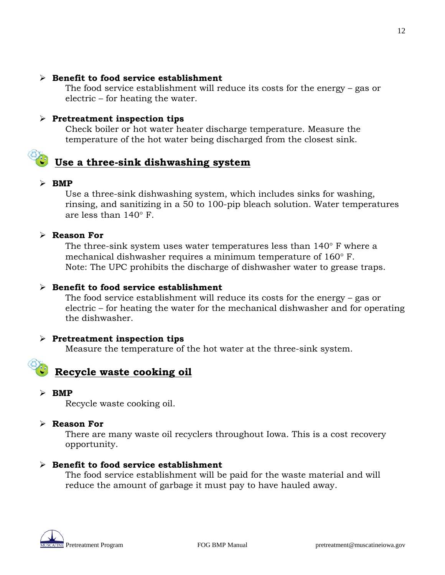#### **Benefit to food service establishment**

The food service establishment will reduce its costs for the energy – gas or electric – for heating the water.

#### **Pretreatment inspection tips**

Check boiler or hot water heater discharge temperature. Measure the temperature of the hot water being discharged from the closest sink.

## **Use a three-sink dishwashing system**

#### $\triangleright$  **BMP**

Use a three-sink dishwashing system, which includes sinks for washing, rinsing, and sanitizing in a 50 to 100-pip bleach solution. Water temperatures are less than 140° F.

#### **Reason For**

The three-sink system uses water temperatures less than 140° F where a mechanical dishwasher requires a minimum temperature of 160° F. Note: The UPC prohibits the discharge of dishwasher water to grease traps.

#### **Benefit to food service establishment**

The food service establishment will reduce its costs for the energy – gas or electric – for heating the water for the mechanical dishwasher and for operating the dishwasher.

#### **Pretreatment inspection tips**

Measure the temperature of the hot water at the three-sink system.

### **Recycle waste cooking oil**

 $\triangleright$  **BMP** 

Recycle waste cooking oil.

#### **Reason For**

There are many waste oil recyclers throughout Iowa. This is a cost recovery opportunity.

#### **Benefit to food service establishment**

The food service establishment will be paid for the waste material and will reduce the amount of garbage it must pay to have hauled away.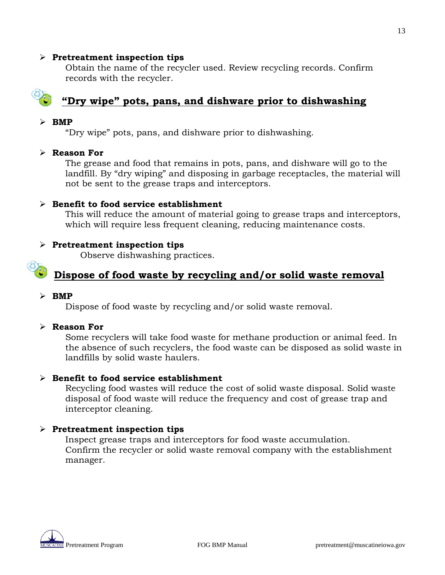#### **Pretreatment inspection tips**

Obtain the name of the recycler used. Review recycling records. Confirm records with the recycler.



## **"Dry wipe" pots, pans, and dishware prior to dishwashing**

#### $\triangleright$  **BMP**

"Dry wipe" pots, pans, and dishware prior to dishwashing.

#### **Reason For**

The grease and food that remains in pots, pans, and dishware will go to the landfill. By "dry wiping" and disposing in garbage receptacles, the material will not be sent to the grease traps and interceptors.

#### **Benefit to food service establishment**

This will reduce the amount of material going to grease traps and interceptors, which will require less frequent cleaning, reducing maintenance costs.

#### **Pretreatment inspection tips**

Observe dishwashing practices.

### **Dispose of food waste by recycling and/or solid waste removal**

#### $\triangleright$  **BMP**

Dispose of food waste by recycling and/or solid waste removal.

#### **Reason For**

Some recyclers will take food waste for methane production or animal feed. In the absence of such recyclers, the food waste can be disposed as solid waste in landfills by solid waste haulers.

#### **Benefit to food service establishment**

Recycling food wastes will reduce the cost of solid waste disposal. Solid waste disposal of food waste will reduce the frequency and cost of grease trap and interceptor cleaning.

#### **Pretreatment inspection tips**

Inspect grease traps and interceptors for food waste accumulation. Confirm the recycler or solid waste removal company with the establishment manager.

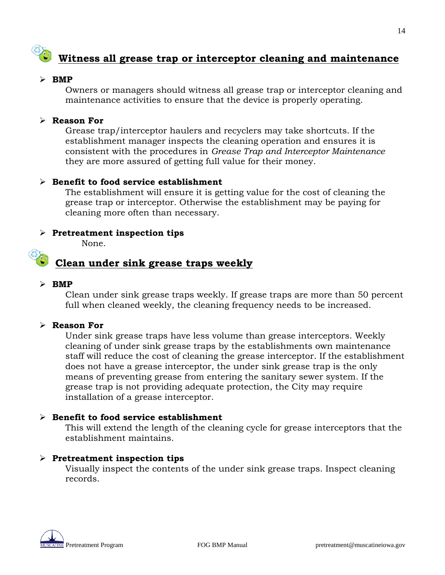## **Witness all grease trap or interceptor cleaning and maintenance**

#### $\triangleright$  **BMP**

Owners or managers should witness all grease trap or interceptor cleaning and maintenance activities to ensure that the device is properly operating.

#### **Reason For**

Grease trap/interceptor haulers and recyclers may take shortcuts. If the establishment manager inspects the cleaning operation and ensures it is consistent with the procedures in *Grease Trap and Interceptor Maintenance*  they are more assured of getting full value for their money.

#### **Benefit to food service establishment**

The establishment will ensure it is getting value for the cost of cleaning the grease trap or interceptor. Otherwise the establishment may be paying for cleaning more often than necessary.

#### **Pretreatment inspection tips**

None.

## **Clean under sink grease traps weekly**

#### $\triangleright$  **BMP**

Clean under sink grease traps weekly. If grease traps are more than 50 percent full when cleaned weekly, the cleaning frequency needs to be increased.

#### **Reason For**

Under sink grease traps have less volume than grease interceptors. Weekly cleaning of under sink grease traps by the establishments own maintenance staff will reduce the cost of cleaning the grease interceptor. If the establishment does not have a grease interceptor, the under sink grease trap is the only means of preventing grease from entering the sanitary sewer system. If the grease trap is not providing adequate protection, the City may require installation of a grease interceptor.

#### **Benefit to food service establishment**

This will extend the length of the cleaning cycle for grease interceptors that the establishment maintains.

#### **Pretreatment inspection tips**

Visually inspect the contents of the under sink grease traps. Inspect cleaning records.

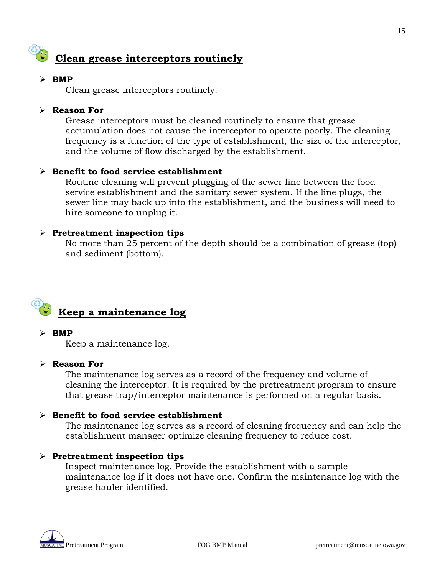

#### $\triangleright$  **BMP**

Clean grease interceptors routinely.

#### **Reason For**

Grease interceptors must be cleaned routinely to ensure that grease accumulation does not cause the interceptor to operate poorly. The cleaning frequency is a function of the type of establishment, the size of the interceptor, and the volume of flow discharged by the establishment.

#### **Benefit to food service establishment**

Routine cleaning will prevent plugging of the sewer line between the food service establishment and the sanitary sewer system. If the line plugs, the sewer line may back up into the establishment, and the business will need to hire someone to unplug it.

#### **Pretreatment inspection tips**

No more than 25 percent of the depth should be a combination of grease (top) and sediment (bottom).



#### $\triangleright$  **BMP**

Keep a maintenance log.

#### **Reason For**

The maintenance log serves as a record of the frequency and volume of cleaning the interceptor. It is required by the pretreatment program to ensure that grease trap/interceptor maintenance is performed on a regular basis.

#### **Benefit to food service establishment**

The maintenance log serves as a record of cleaning frequency and can help the establishment manager optimize cleaning frequency to reduce cost.

#### **Pretreatment inspection tips**

Inspect maintenance log. Provide the establishment with a sample maintenance log if it does not have one. Confirm the maintenance log with the grease hauler identified.

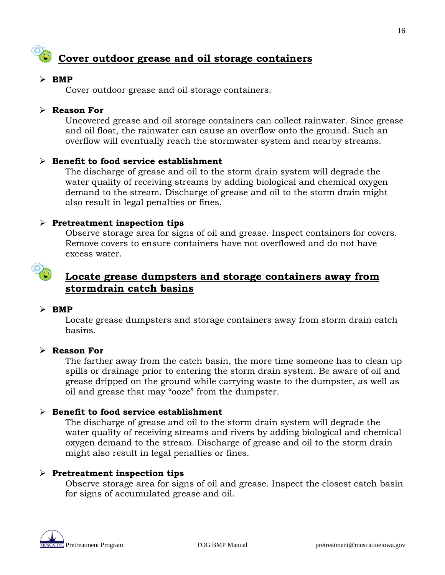## **Cover outdoor grease and oil storage containers**

#### $\triangleright$  **BMP**

Cover outdoor grease and oil storage containers.

#### **Reason For**

Uncovered grease and oil storage containers can collect rainwater. Since grease and oil float, the rainwater can cause an overflow onto the ground. Such an overflow will eventually reach the stormwater system and nearby streams.

#### **Benefit to food service establishment**

The discharge of grease and oil to the storm drain system will degrade the water quality of receiving streams by adding biological and chemical oxygen demand to the stream. Discharge of grease and oil to the storm drain might also result in legal penalties or fines.

#### **Pretreatment inspection tips**

Observe storage area for signs of oil and grease. Inspect containers for covers. Remove covers to ensure containers have not overflowed and do not have excess water.



### **Locate grease dumpsters and storage containers away from stormdrain catch basins**

#### $\triangleright$  **BMP**

Locate grease dumpsters and storage containers away from storm drain catch basins.

#### **Reason For**

The farther away from the catch basin, the more time someone has to clean up spills or drainage prior to entering the storm drain system. Be aware of oil and grease dripped on the ground while carrying waste to the dumpster, as well as oil and grease that may "ooze" from the dumpster.

#### **Benefit to food service establishment**

The discharge of grease and oil to the storm drain system will degrade the water quality of receiving streams and rivers by adding biological and chemical oxygen demand to the stream. Discharge of grease and oil to the storm drain might also result in legal penalties or fines.

#### **Pretreatment inspection tips**

Observe storage area for signs of oil and grease. Inspect the closest catch basin for signs of accumulated grease and oil.

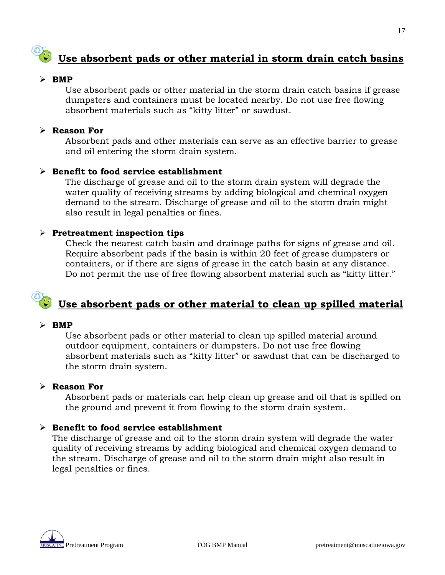## **Use absorbent pads or other material in storm drain catch basins**

#### $\triangleright$  **BMP**

Use absorbent pads or other material in the storm drain catch basins if grease dumpsters and containers must be located nearby. Do not use free flowing absorbent materials such as "kitty litter" or sawdust.

#### **Reason For**

Absorbent pads and other materials can serve as an effective barrier to grease and oil entering the storm drain system.

#### **Benefit to food service establishment**

The discharge of grease and oil to the storm drain system will degrade the water quality of receiving streams by adding biological and chemical oxygen demand to the stream. Discharge of grease and oil to the storm drain might also result in legal penalties or fines.

#### **Pretreatment inspection tips**

Check the nearest catch basin and drainage paths for signs of grease and oil. Require absorbent pads if the basin is within 20 feet of grease dumpsters or containers, or if there are signs of grease in the catch basin at any distance. Do not permit the use of free flowing absorbent material such as "kitty litter."

## **Use absorbent pads or other material to clean up spilled material**

#### $\triangleright$  **BMP**

Use absorbent pads or other material to clean up spilled material around outdoor equipment, containers or dumpsters. Do not use free flowing absorbent materials such as "kitty litter" or sawdust that can be discharged to the storm drain system.

#### **Reason For**

Absorbent pads or materials can help clean up grease and oil that is spilled on the ground and prevent it from flowing to the storm drain system.

#### **Benefit to food service establishment**

The discharge of grease and oil to the storm drain system will degrade the water quality of receiving streams by adding biological and chemical oxygen demand to the stream. Discharge of grease and oil to the storm drain might also result in legal penalties or fines.

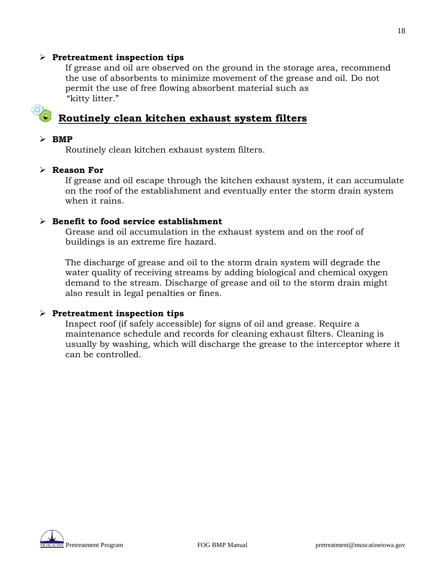#### **Pretreatment inspection tips**

If grease and oil are observed on the ground in the storage area, recommend the use of absorbents to minimize movement of the grease and oil. Do not permit the use of free flowing absorbent material such as "kitty litter."

## **Routinely clean kitchen exhaust system filters**

#### $\triangleright$  **BMP**

Routinely clean kitchen exhaust system filters.

#### **Reason For**

If grease and oil escape through the kitchen exhaust system, it can accumulate on the roof of the establishment and eventually enter the storm drain system when it rains.

#### **Benefit to food service establishment**

Grease and oil accumulation in the exhaust system and on the roof of buildings is an extreme fire hazard.

The discharge of grease and oil to the storm drain system will degrade the water quality of receiving streams by adding biological and chemical oxygen demand to the stream. Discharge of grease and oil to the storm drain might also result in legal penalties or fines.

#### **Pretreatment inspection tips**

Inspect roof (if safely accessible) for signs of oil and grease. Require a maintenance schedule and records for cleaning exhaust filters. Cleaning is usually by washing, which will discharge the grease to the interceptor where it can be controlled.

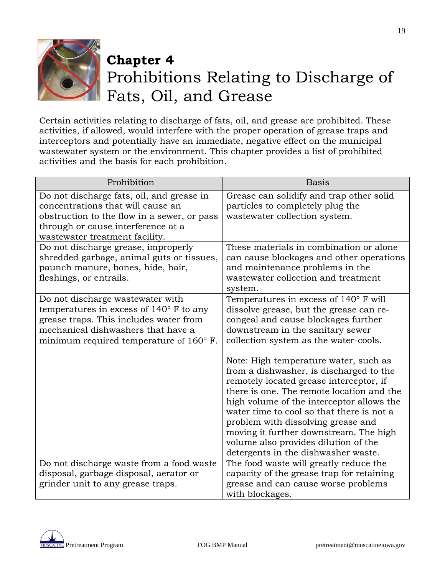

## **Chapter 4** Prohibitions Relating to Discharge of Fats, Oil, and Grease

Certain activities relating to discharge of fats, oil, and grease are prohibited. These activities, if allowed, would interfere with the proper operation of grease traps and interceptors and potentially have an immediate, negative effect on the municipal wastewater system or the environment. This chapter provides a list of prohibited activities and the basis for each prohibition.

| Prohibition                                                                                                                                                                                                              | <b>Basis</b>                                                                                                                                                                                                                                                                                                                                                                                                                      |
|--------------------------------------------------------------------------------------------------------------------------------------------------------------------------------------------------------------------------|-----------------------------------------------------------------------------------------------------------------------------------------------------------------------------------------------------------------------------------------------------------------------------------------------------------------------------------------------------------------------------------------------------------------------------------|
| Do not discharge fats, oil, and grease in<br>concentrations that will cause an<br>obstruction to the flow in a sewer, or pass<br>through or cause interference at a<br>wastewater treatment facility.                    | Grease can solidify and trap other solid<br>particles to completely plug the<br>wastewater collection system.                                                                                                                                                                                                                                                                                                                     |
| Do not discharge grease, improperly<br>shredded garbage, animal guts or tissues,<br>paunch manure, bones, hide, hair,<br>fleshings, or entrails.                                                                         | These materials in combination or alone<br>can cause blockages and other operations<br>and maintenance problems in the<br>wastewater collection and treatment<br>system.                                                                                                                                                                                                                                                          |
| Do not discharge wastewater with<br>temperatures in excess of $140^{\circ}$ F to any<br>grease traps. This includes water from<br>mechanical dishwashers that have a<br>minimum required temperature of $160^{\circ}$ F. | Temperatures in excess of 140° F will<br>dissolve grease, but the grease can re-<br>congeal and cause blockages further<br>downstream in the sanitary sewer<br>collection system as the water-cools.                                                                                                                                                                                                                              |
|                                                                                                                                                                                                                          | Note: High temperature water, such as<br>from a dishwasher, is discharged to the<br>remotely located grease interceptor, if<br>there is one. The remote location and the<br>high volume of the interceptor allows the<br>water time to cool so that there is not a<br>problem with dissolving grease and<br>moving it further downstream. The high<br>volume also provides dilution of the<br>detergents in the dishwasher waste. |
| Do not discharge waste from a food waste<br>disposal, garbage disposal, aerator or<br>grinder unit to any grease traps.                                                                                                  | The food waste will greatly reduce the<br>capacity of the grease trap for retaining<br>grease and can cause worse problems<br>with blockages.                                                                                                                                                                                                                                                                                     |

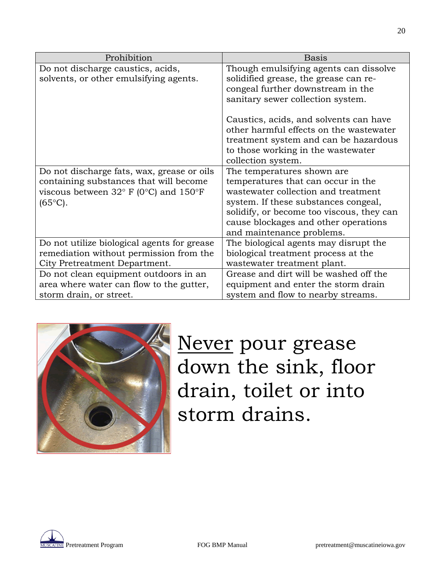| Prohibition                                              | <b>Basis</b>                              |
|----------------------------------------------------------|-------------------------------------------|
| Do not discharge caustics, acids,                        | Though emulsifying agents can dissolve    |
| solvents, or other emulsifying agents.                   | solidified grease, the grease can re-     |
|                                                          | congeal further downstream in the         |
|                                                          | sanitary sewer collection system.         |
|                                                          | Caustics, acids, and solvents can have    |
|                                                          |                                           |
|                                                          | other harmful effects on the wastewater   |
|                                                          | treatment system and can be hazardous     |
|                                                          | to those working in the wastewater        |
|                                                          | collection system.                        |
| Do not discharge fats, wax, grease or oils               | The temperatures shown are                |
| containing substances that will become                   | temperatures that can occur in the        |
| viscous between $32^{\circ}$ F (0°C) and $150^{\circ}$ F | wastewater collection and treatment       |
| $(65^{\circ}C).$                                         | system. If these substances congeal,      |
|                                                          | solidify, or become too viscous, they can |
|                                                          | cause blockages and other operations      |
|                                                          | and maintenance problems.                 |
| Do not utilize biological agents for grease              | The biological agents may disrupt the     |
| remediation without permission from the                  | biological treatment process at the       |
| City Pretreatment Department.                            | wastewater treatment plant.               |
| Do not clean equipment outdoors in an                    | Grease and dirt will be washed off the    |
| area where water can flow to the gutter,                 | equipment and enter the storm drain       |
| storm drain, or street.                                  | system and flow to nearby streams.        |



Never pour grease down the sink, floor drain, toilet or into storm drains.

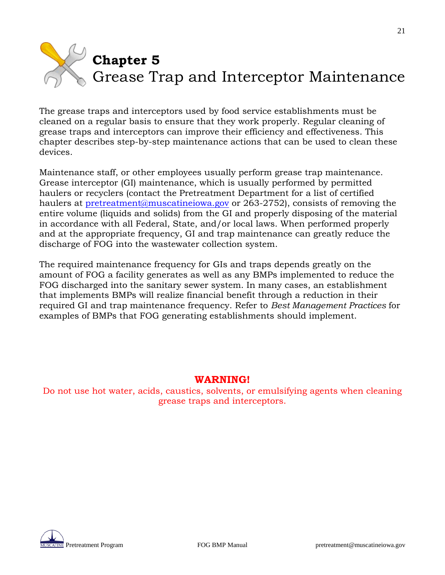# **Chapter 5** Grease Trap and Interceptor Maintenance

The grease traps and interceptors used by food service establishments must be cleaned on a regular basis to ensure that they work properly. Regular cleaning of grease traps and interceptors can improve their efficiency and effectiveness. This chapter describes step-by-step maintenance actions that can be used to clean these devices.

Maintenance staff, or other employees usually perform grease trap maintenance. Grease interceptor (GI) maintenance, which is usually performed by permitted haulers or recyclers (contact the Pretreatment Department for a list of certified haulers at **pretreatment@muscatineiowa.gov** or 263-2752), consists of removing the entire volume (liquids and solids) from the GI and properly disposing of the material in accordance with all Federal, State, and/or local laws. When performed properly and at the appropriate frequency, GI and trap maintenance can greatly reduce the discharge of FOG into the wastewater collection system.

The required maintenance frequency for GIs and traps depends greatly on the amount of FOG a facility generates as well as any BMPs implemented to reduce the FOG discharged into the sanitary sewer system. In many cases, an establishment that implements BMPs will realize financial benefit through a reduction in their required GI and trap maintenance frequency. Refer to *Best Management Practices* for examples of BMPs that FOG generating establishments should implement.

### **WARNING!**

Do not use hot water, acids, caustics, solvents, or emulsifying agents when cleaning grease traps and interceptors.



21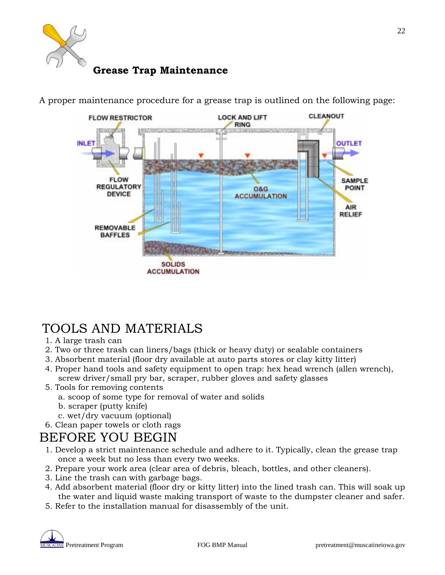

## **Grease Trap Maintenance**



A proper maintenance procedure for a grease trap is outlined on the following page:

## TOOLS AND MATERIALS

- 1. A large trash can
- 2. Two or three trash can liners/bags (thick or heavy duty) or sealable containers
- 3. Absorbent material (floor dry available at auto parts stores or clay kitty litter)
- 4. Proper hand tools and safety equipment to open trap: hex head wrench (allen wrench), screw driver/small pry bar, scraper, rubber gloves and safety glasses
- 5. Tools for removing contents
	- a. scoop of some type for removal of water and solids
	- b. scraper (putty knife)
	- c. wet/dry vacuum (optional)
- 6. Clean paper towels or cloth rags

## BEFORE YOU BEGIN

- 1. Develop a strict maintenance schedule and adhere to it. Typically, clean the grease trap once a week but no less than every two weeks.
- 2. Prepare your work area (clear area of debris, bleach, bottles, and other cleaners).
- 3. Line the trash can with garbage bags.
- 4. Add absorbent material (floor dry or kitty litter) into the lined trash can. This will soak up the water and liquid waste making transport of waste to the dumpster cleaner and safer.
- 5. Refer to the installation manual for disassembly of the unit.

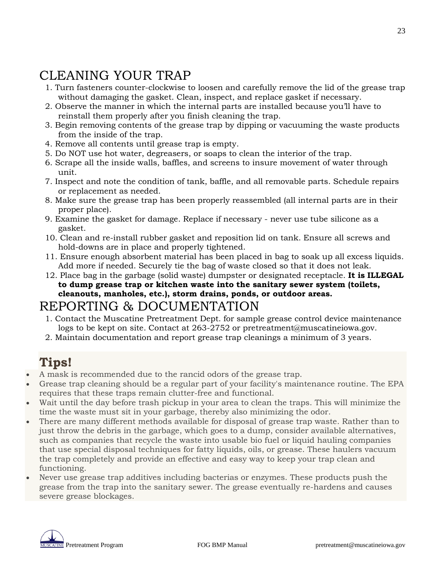## CLEANING YOUR TRAP

- 1. Turn fasteners counter-clockwise to loosen and carefully remove the lid of the grease trap without damaging the gasket. Clean, inspect, and replace gasket if necessary.
- 2. Observe the manner in which the internal parts are installed because you'll have to reinstall them properly after you finish cleaning the trap.
- 3. Begin removing contents of the grease trap by dipping or vacuuming the waste products from the inside of the trap.
- 4. Remove all contents until grease trap is empty.
- 5. Do NOT use hot water, degreasers, or soaps to clean the interior of the trap.
- 6. Scrape all the inside walls, baffles, and screens to insure movement of water through unit.
- 7. Inspect and note the condition of tank, baffle, and all removable parts. Schedule repairs or replacement as needed.
- 8. Make sure the grease trap has been properly reassembled (all internal parts are in their proper place).
- 9. Examine the gasket for damage. Replace if necessary never use tube silicone as a gasket.
- 10. Clean and re-install rubber gasket and reposition lid on tank. Ensure all screws and hold-downs are in place and properly tightened.
- 11. Ensure enough absorbent material has been placed in bag to soak up all excess liquids. Add more if needed. Securely tie the bag of waste closed so that it does not leak.
- 12. Place bag in the garbage (solid waste) dumpster or designated receptacle. **It is ILLEGAL to dump grease trap or kitchen waste into the sanitary sewer system (toilets, cleanouts, manholes, etc.), storm drains, ponds, or outdoor areas.**

## REPORTING & DOCUMENTATION

- 1. Contact the Muscatine Pretreatment Dept. for sample grease control device maintenance logs to be kept on site. Contact at 263-2752 or pretreatment@muscatineiowa.gov.
- 2. Maintain documentation and report grease trap cleanings a minimum of 3 years.

## **Tips!**

- A mask is recommended due to the rancid odors of the grease trap.
- Grease trap cleaning should be a regular part of your facility's maintenance routine. The EPA requires that these traps remain clutter-free and functional.
- Wait until the day before trash pickup in your area to clean the traps. This will minimize the time the waste must sit in your garbage, thereby also minimizing the odor.
- There are many different methods available for disposal of grease trap waste. Rather than to just throw the debris in the garbage, which goes to a dump, consider available alternatives, such as companies that recycle the waste into usable bio fuel or liquid hauling companies that use special disposal techniques for fatty liquids, oils, or grease. These haulers vacuum the trap completely and provide an effective and easy way to keep your trap clean and functioning.
- Never use grease trap additives including bacterias or enzymes. These products push the grease from the trap into the sanitary sewer. The grease eventually re-hardens and causes severe grease blockages.



23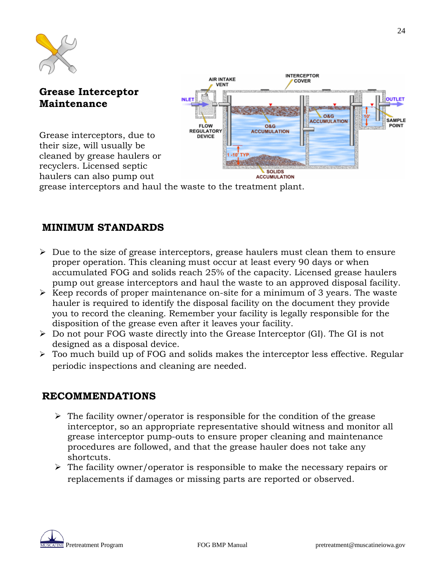

## **Grease Interceptor Maintenance**

Grease interceptors, due to their size, will usually be cleaned by grease haulers or recyclers. Licensed septic haulers can also pump out



grease interceptors and haul the waste to the treatment plant.

### **MINIMUM STANDARDS**

- $\triangleright$  Due to the size of grease interceptors, grease haulers must clean them to ensure proper operation. This cleaning must occur at least every 90 days or when accumulated FOG and solids reach 25% of the capacity. Licensed grease haulers pump out grease interceptors and haul the waste to an approved disposal facility.
- $\triangleright$  Keep records of proper maintenance on-site for a minimum of 3 years. The waste hauler is required to identify the disposal facility on the document they provide you to record the cleaning. Remember your facility is legally responsible for the disposition of the grease even after it leaves your facility.
- $\triangleright$  Do not pour FOG waste directly into the Grease Interceptor (GI). The GI is not designed as a disposal device.
- Too much build up of FOG and solids makes the interceptor less effective. Regular periodic inspections and cleaning are needed.

### **RECOMMENDATIONS**

- $\triangleright$  The facility owner/operator is responsible for the condition of the grease interceptor, so an appropriate representative should witness and monitor all grease interceptor pump-outs to ensure proper cleaning and maintenance procedures are followed, and that the grease hauler does not take any shortcuts.
- $\triangleright$  The facility owner/operator is responsible to make the necessary repairs or replacements if damages or missing parts are reported or observed.

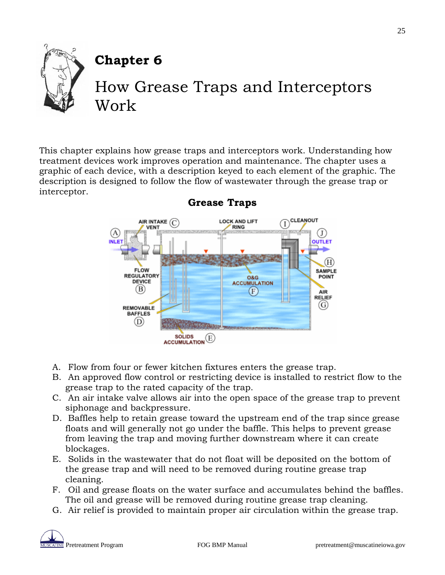

## **Chapter 6**

## How Grease Traps and Interceptors Work

This chapter explains how grease traps and interceptors work. Understanding how treatment devices work improves operation and maintenance. The chapter uses a graphic of each device, with a description keyed to each element of the graphic. The description is designed to follow the flow of wastewater through the grease trap or interceptor.



### **Grease Traps**

- A. Flow from four or fewer kitchen fixtures enters the grease trap.
- B. An approved flow control or restricting device is installed to restrict flow to the grease trap to the rated capacity of the trap.
- C. An air intake valve allows air into the open space of the grease trap to prevent siphonage and backpressure.
- D. Baffles help to retain grease toward the upstream end of the trap since grease floats and will generally not go under the baffle. This helps to prevent grease from leaving the trap and moving further downstream where it can create blockages.
- E. Solids in the wastewater that do not float will be deposited on the bottom of the grease trap and will need to be removed during routine grease trap cleaning.
- F. Oil and grease floats on the water surface and accumulates behind the baffles. The oil and grease will be removed during routine grease trap cleaning.
- G. Air relief is provided to maintain proper air circulation within the grease trap.

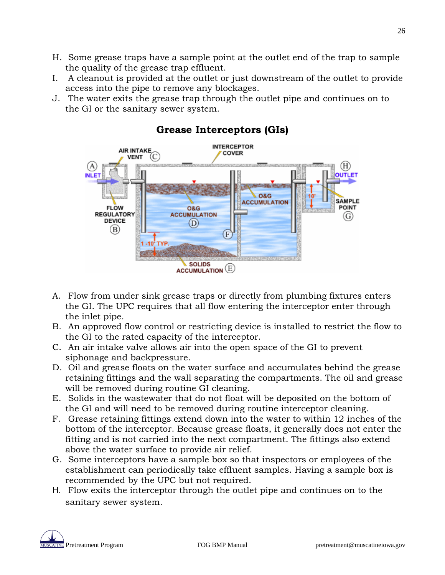- H. Some grease traps have a sample point at the outlet end of the trap to sample the quality of the grease trap effluent.
- I. A cleanout is provided at the outlet or just downstream of the outlet to provide access into the pipe to remove any blockages.
- J. The water exits the grease trap through the outlet pipe and continues on to the GI or the sanitary sewer system.



### **Grease Interceptors (GIs)**

- A. Flow from under sink grease traps or directly from plumbing fixtures enters the GI. The UPC requires that all flow entering the interceptor enter through the inlet pipe.
- B. An approved flow control or restricting device is installed to restrict the flow to the GI to the rated capacity of the interceptor.
- C. An air intake valve allows air into the open space of the GI to prevent siphonage and backpressure.
- D. Oil and grease floats on the water surface and accumulates behind the grease retaining fittings and the wall separating the compartments. The oil and grease will be removed during routine GI cleaning.
- E. Solids in the wastewater that do not float will be deposited on the bottom of the GI and will need to be removed during routine interceptor cleaning.
- F. Grease retaining fittings extend down into the water to within 12 inches of the bottom of the interceptor. Because grease floats, it generally does not enter the fitting and is not carried into the next compartment. The fittings also extend above the water surface to provide air relief.
- G. Some interceptors have a sample box so that inspectors or employees of the establishment can periodically take effluent samples. Having a sample box is recommended by the UPC but not required.
- H. Flow exits the interceptor through the outlet pipe and continues on to the sanitary sewer system.

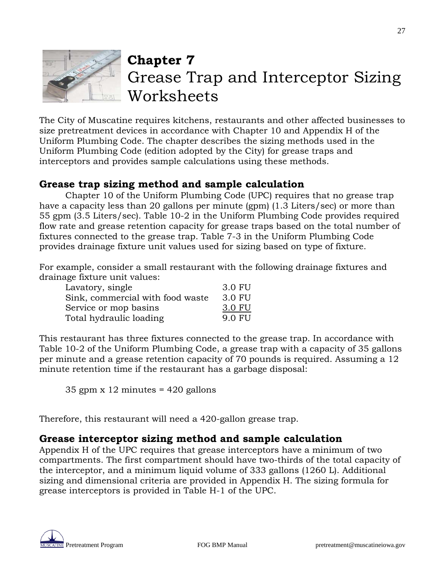

## **Chapter 7** Grease Trap and Interceptor Sizing **Worksheets**

The City of Muscatine requires kitchens, restaurants and other affected businesses to size pretreatment devices in accordance with Chapter 10 and Appendix H of the Uniform Plumbing Code. The chapter describes the sizing methods used in the Uniform Plumbing Code (edition adopted by the City) for grease traps and interceptors and provides sample calculations using these methods.

### **Grease trap sizing method and sample calculation**

Chapter 10 of the Uniform Plumbing Code (UPC) requires that no grease trap have a capacity less than 20 gallons per minute (gpm) (1.3 Liters/sec) or more than 55 gpm (3.5 Liters/sec). Table 10-2 in the Uniform Plumbing Code provides required flow rate and grease retention capacity for grease traps based on the total number of fixtures connected to the grease trap. Table 7-3 in the Uniform Plumbing Code provides drainage fixture unit values used for sizing based on type of fixture.

For example, consider a small restaurant with the following drainage fixtures and drainage fixture unit values:

| Lavatory, single                 | 3.0 FU |
|----------------------------------|--------|
| Sink, commercial with food waste | 3.0 FU |
| Service or mop basins            | 3.0 FU |
| Total hydraulic loading          | 9.0 FU |

This restaurant has three fixtures connected to the grease trap. In accordance with Table 10-2 of the Uniform Plumbing Code, a grease trap with a capacity of 35 gallons per minute and a grease retention capacity of 70 pounds is required. Assuming a 12 minute retention time if the restaurant has a garbage disposal:

35 gpm  $x$  12 minutes = 420 gallons

Therefore, this restaurant will need a 420-gallon grease trap.

### **Grease interceptor sizing method and sample calculation**

Appendix H of the UPC requires that grease interceptors have a minimum of two compartments. The first compartment should have two-thirds of the total capacity of the interceptor, and a minimum liquid volume of 333 gallons (1260 L). Additional sizing and dimensional criteria are provided in Appendix H. The sizing formula for grease interceptors is provided in Table H-1 of the UPC.

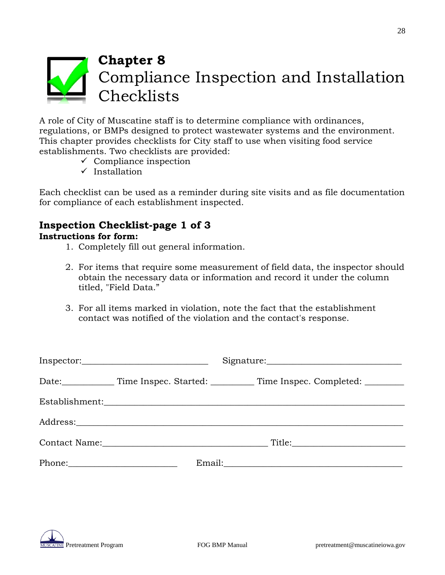

A role of City of Muscatine staff is to determine compliance with ordinances, regulations, or BMPs designed to protect wastewater systems and the environment. This chapter provides checklists for City staff to use when visiting food service establishments. Two checklists are provided:

- $\checkmark$  Compliance inspection
- $\checkmark$  Installation

Each checklist can be used as a reminder during site visits and as file documentation for compliance of each establishment inspected.

### **Inspection Checklist-page 1 of 3 Instructions for form:**

- 1. Completely fill out general information.
- 2. For items that require some measurement of field data, the inspector should obtain the necessary data or information and record it under the column titled, "Field Data."
- 3. For all items marked in violation, note the fact that the establishment contact was notified of the violation and the contact's response.

| $In spectro.\underline{\hspace{2cm}\hspace{2cm}}$ |                                                                                                                   |                                                                                                                 |  |
|---------------------------------------------------|-------------------------------------------------------------------------------------------------------------------|-----------------------------------------------------------------------------------------------------------------|--|
|                                                   |                                                                                                                   | Date: Time Inspec. Started: Time Inspec. Completed: ____________                                                |  |
|                                                   |                                                                                                                   |                                                                                                                 |  |
|                                                   |                                                                                                                   |                                                                                                                 |  |
|                                                   | Contact Name: Name and South Assembly and South Assembly and South Assembly and South Assembly and South Assembly |                                                                                                                 |  |
|                                                   |                                                                                                                   | Email: 2008. 2008. 2010. 2010. 2010. 2010. 2010. 2010. 2010. 2011. 2012. 2012. 2014. 2014. 2014. 2014. 2014. 20 |  |

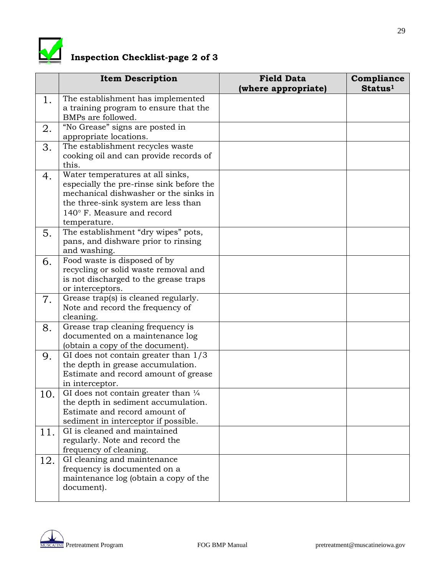

## **Inspection Checklist-page 2 of 3**

|     | <b>Item Description</b>                                                                                                                                                                                    | <b>Field Data</b><br>(where appropriate) | Compliance<br>Status <sup>1</sup> |
|-----|------------------------------------------------------------------------------------------------------------------------------------------------------------------------------------------------------------|------------------------------------------|-----------------------------------|
| 1.  | The establishment has implemented<br>a training program to ensure that the<br>BMPs are followed.                                                                                                           |                                          |                                   |
| 2.  | "No Grease" signs are posted in<br>appropriate locations.                                                                                                                                                  |                                          |                                   |
| 3.  | The establishment recycles waste<br>cooking oil and can provide records of<br>this.                                                                                                                        |                                          |                                   |
| 4.  | Water temperatures at all sinks,<br>especially the pre-rinse sink before the<br>mechanical dishwasher or the sinks in<br>the three-sink system are less than<br>140° F. Measure and record<br>temperature. |                                          |                                   |
| 5.  | The establishment "dry wipes" pots,<br>pans, and dishware prior to rinsing<br>and washing.                                                                                                                 |                                          |                                   |
| 6.  | Food waste is disposed of by<br>recycling or solid waste removal and<br>is not discharged to the grease traps<br>or interceptors.                                                                          |                                          |                                   |
| 7.  | Grease trap(s) is cleaned regularly.<br>Note and record the frequency of<br>cleaning.                                                                                                                      |                                          |                                   |
| 8.  | Grease trap cleaning frequency is<br>documented on a maintenance log<br>(obtain a copy of the document).                                                                                                   |                                          |                                   |
| 9.  | GI does not contain greater than $1/3$<br>the depth in grease accumulation.<br>Estimate and record amount of grease<br>in interceptor.                                                                     |                                          |                                   |
| 10. | GI does not contain greater than $\frac{1}{4}$<br>the depth in sediment accumulation.<br>Estimate and record amount of<br>sediment in interceptor if possible.                                             |                                          |                                   |
| 11. | GI is cleaned and maintained<br>regularly. Note and record the<br>frequency of cleaning.                                                                                                                   |                                          |                                   |
| 12. | GI cleaning and maintenance<br>frequency is documented on a<br>maintenance log (obtain a copy of the<br>document).                                                                                         |                                          |                                   |

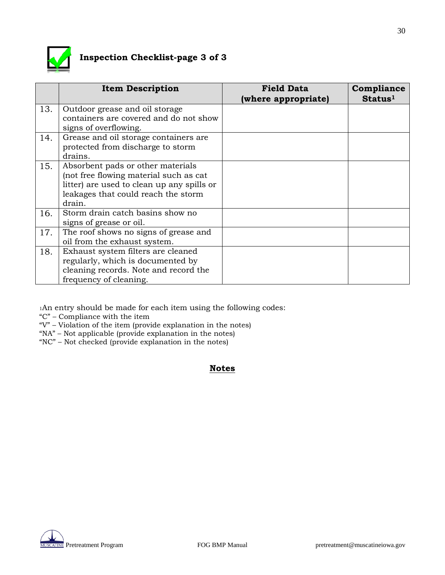

## **Inspection Checklist-page 3 of 3**

|     | <b>Item Description</b>                                                                                                                                                    | <b>Field Data</b>   | Compliance          |
|-----|----------------------------------------------------------------------------------------------------------------------------------------------------------------------------|---------------------|---------------------|
|     |                                                                                                                                                                            | (where appropriate) | Status <sup>1</sup> |
| 13. | Outdoor grease and oil storage<br>containers are covered and do not show                                                                                                   |                     |                     |
|     | signs of overflowing.                                                                                                                                                      |                     |                     |
| 14. | Grease and oil storage containers are<br>protected from discharge to storm<br>drains.                                                                                      |                     |                     |
| 15. | Absorbent pads or other materials<br>(not free flowing material such as cat<br>litter) are used to clean up any spills or<br>leakages that could reach the storm<br>drain. |                     |                     |
| 16. | Storm drain catch basins show no<br>signs of grease or oil.                                                                                                                |                     |                     |
| 17. | The roof shows no signs of grease and<br>oil from the exhaust system.                                                                                                      |                     |                     |
| 18. | Exhaust system filters are cleaned<br>regularly, which is documented by<br>cleaning records. Note and record the<br>frequency of cleaning.                                 |                     |                     |

1An entry should be made for each item using the following codes:

"C" – Compliance with the item

- "V" Violation of the item (provide explanation in the notes)
- "NA" Not applicable (provide explanation in the notes)
- "NC" Not checked (provide explanation in the notes)

#### **Notes**

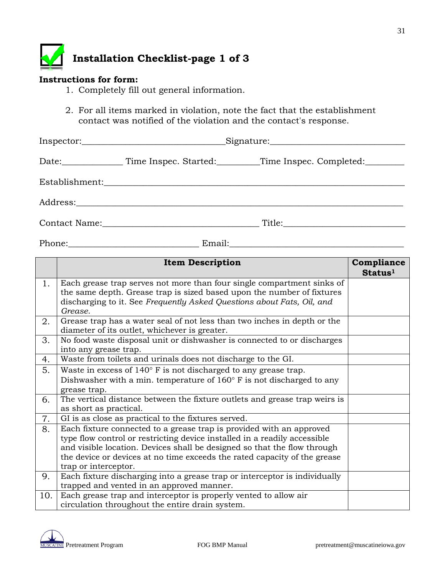

#### **Instructions for form:**

- 1. Completely fill out general information.
- 2. For all items marked in violation, note the fact that the establishment contact was notified of the violation and the contact's response.

| Date: Time Inspec. Started: Time Inspec. Completed: |
|-----------------------------------------------------|
|                                                     |
|                                                     |
|                                                     |

Phone:\_\_\_\_\_\_\_\_\_\_\_\_\_\_\_\_\_\_\_\_\_\_\_\_\_\_\_\_\_\_ Email:\_\_\_\_\_\_\_\_\_\_\_\_\_\_\_\_\_\_\_\_\_\_\_\_\_\_\_\_\_\_\_\_\_\_\_\_\_\_\_\_

|     | <b>Item Description</b>                                                                                                                                                                                                                                                                                                            | Compliance<br>Status <sup>1</sup> |
|-----|------------------------------------------------------------------------------------------------------------------------------------------------------------------------------------------------------------------------------------------------------------------------------------------------------------------------------------|-----------------------------------|
| 1.  | Each grease trap serves not more than four single compartment sinks of<br>the same depth. Grease trap is sized based upon the number of fixtures<br>discharging to it. See Frequently Asked Questions about Fats, Oil, and<br>Grease.                                                                                              |                                   |
| 2.  | Grease trap has a water seal of not less than two inches in depth or the<br>diameter of its outlet, whichever is greater.                                                                                                                                                                                                          |                                   |
| 3.  | No food waste disposal unit or dishwasher is connected to or discharges<br>into any grease trap.                                                                                                                                                                                                                                   |                                   |
| 4.  | Waste from toilets and urinals does not discharge to the GI.                                                                                                                                                                                                                                                                       |                                   |
| 5.  | Waste in excess of $140^{\circ}$ F is not discharged to any grease trap.<br>Dishwasher with a min. temperature of $160^{\circ}$ F is not discharged to any<br>grease trap.                                                                                                                                                         |                                   |
| 6.  | The vertical distance between the fixture outlets and grease trap weirs is<br>as short as practical.                                                                                                                                                                                                                               |                                   |
| 7.  | GI is as close as practical to the fixtures served.                                                                                                                                                                                                                                                                                |                                   |
| 8.  | Each fixture connected to a grease trap is provided with an approved<br>type flow control or restricting device installed in a readily accessible<br>and visible location. Devices shall be designed so that the flow through<br>the device or devices at no time exceeds the rated capacity of the grease<br>trap or interceptor. |                                   |
| 9.  | Each fixture discharging into a grease trap or interceptor is individually<br>trapped and vented in an approved manner.                                                                                                                                                                                                            |                                   |
| 10. | Each grease trap and interceptor is properly vented to allow air<br>circulation throughout the entire drain system.                                                                                                                                                                                                                |                                   |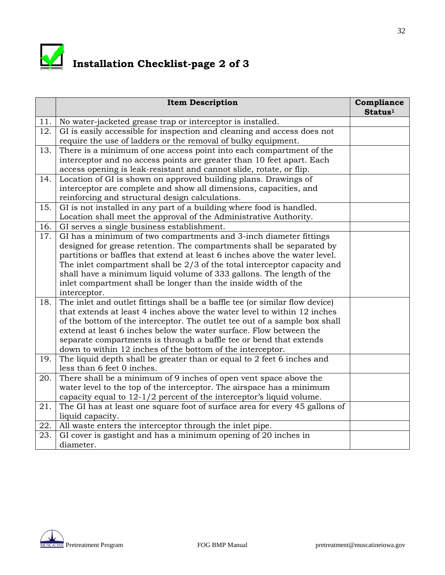

## **Installation Checklist-page 2 of 3**

|     | <b>Item Description</b>                                                      | Compliance<br>Status <sup>1</sup> |
|-----|------------------------------------------------------------------------------|-----------------------------------|
| 11. | No water-jacketed grease trap or interceptor is installed.                   |                                   |
| 12. | GI is easily accessible for inspection and cleaning and access does not      |                                   |
|     | require the use of ladders or the removal of bulky equipment.                |                                   |
| 13. | There is a minimum of one access point into each compartment of the          |                                   |
|     | interceptor and no access points are greater than 10 feet apart. Each        |                                   |
|     | access opening is leak-resistant and cannot slide, rotate, or flip.          |                                   |
| 14. | Location of GI is shown on approved building plans. Drawings of              |                                   |
|     | interceptor are complete and show all dimensions, capacities, and            |                                   |
|     | reinforcing and structural design calculations.                              |                                   |
| 15. | GI is not installed in any part of a building where food is handled.         |                                   |
|     | Location shall meet the approval of the Administrative Authority.            |                                   |
| 16. | GI serves a single business establishment.                                   |                                   |
| 17. | GI has a minimum of two compartments and 3-inch diameter fittings            |                                   |
|     | designed for grease retention. The compartments shall be separated by        |                                   |
|     | partitions or baffles that extend at least 6 inches above the water level.   |                                   |
|     | The inlet compartment shall be $2/3$ of the total interceptor capacity and   |                                   |
|     | shall have a minimum liquid volume of 333 gallons. The length of the         |                                   |
|     | inlet compartment shall be longer than the inside width of the               |                                   |
|     | interceptor.                                                                 |                                   |
| 18. | The inlet and outlet fittings shall be a baffle tee (or similar flow device) |                                   |
|     | that extends at least 4 inches above the water level to within 12 inches     |                                   |
|     | of the bottom of the interceptor. The outlet tee out of a sample box shall   |                                   |
|     | extend at least 6 inches below the water surface. Flow between the           |                                   |
|     | separate compartments is through a baffle tee or bend that extends           |                                   |
|     | down to within 12 inches of the bottom of the interceptor.                   |                                   |
| 19. | The liquid depth shall be greater than or equal to 2 feet 6 inches and       |                                   |
|     | less than 6 feet 0 inches.                                                   |                                   |
| 20. | There shall be a minimum of 9 inches of open vent space above the            |                                   |
|     | water level to the top of the interceptor. The airspace has a minimum        |                                   |
|     | capacity equal to $12-1/2$ percent of the interceptor's liquid volume.       |                                   |
| 21. | The GI has at least one square foot of surface area for every 45 gallons of  |                                   |
|     | liquid capacity.                                                             |                                   |
| 22. | All waste enters the interceptor through the inlet pipe.                     |                                   |
| 23. | GI cover is gastight and has a minimum opening of 20 inches in               |                                   |
|     | diameter.                                                                    |                                   |

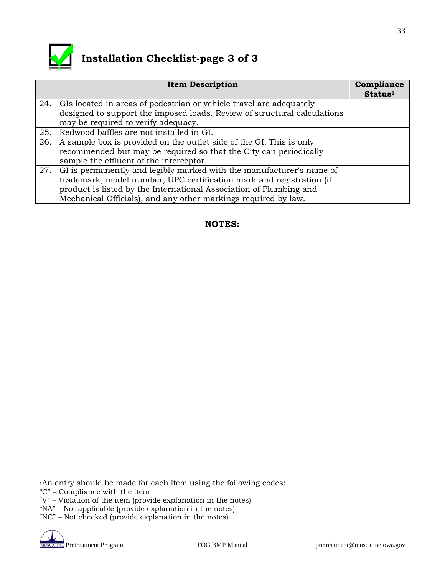

## **Installation Checklist-page 3 of 3**

|     | <b>Item Description</b>                                                  | Compliance<br>Status <sup>1</sup> |
|-----|--------------------------------------------------------------------------|-----------------------------------|
| 24. | GIs located in areas of pedestrian or vehicle travel are adequately      |                                   |
|     | designed to support the imposed loads. Review of structural calculations |                                   |
|     | may be required to verify adequacy.                                      |                                   |
| 25. | Redwood baffles are not installed in GI.                                 |                                   |
| 26. | A sample box is provided on the outlet side of the GI. This is only      |                                   |
|     | recommended but may be required so that the City can periodically        |                                   |
|     | sample the effluent of the interceptor.                                  |                                   |
| 27. | GI is permanently and legibly marked with the manufacturer's name of     |                                   |
|     | trademark, model number, UPC certification mark and registration (if     |                                   |
|     | product is listed by the International Association of Plumbing and       |                                   |
|     | Mechanical Officials), and any other markings required by law.           |                                   |

#### **NOTES:**

1An entry should be made for each item using the following codes:

- "C" Compliance with the item
- "V" Violation of the item (provide explanation in the notes)
- "NA" Not applicable (provide explanation in the notes)

"NC" – Not checked (provide explanation in the notes)



33